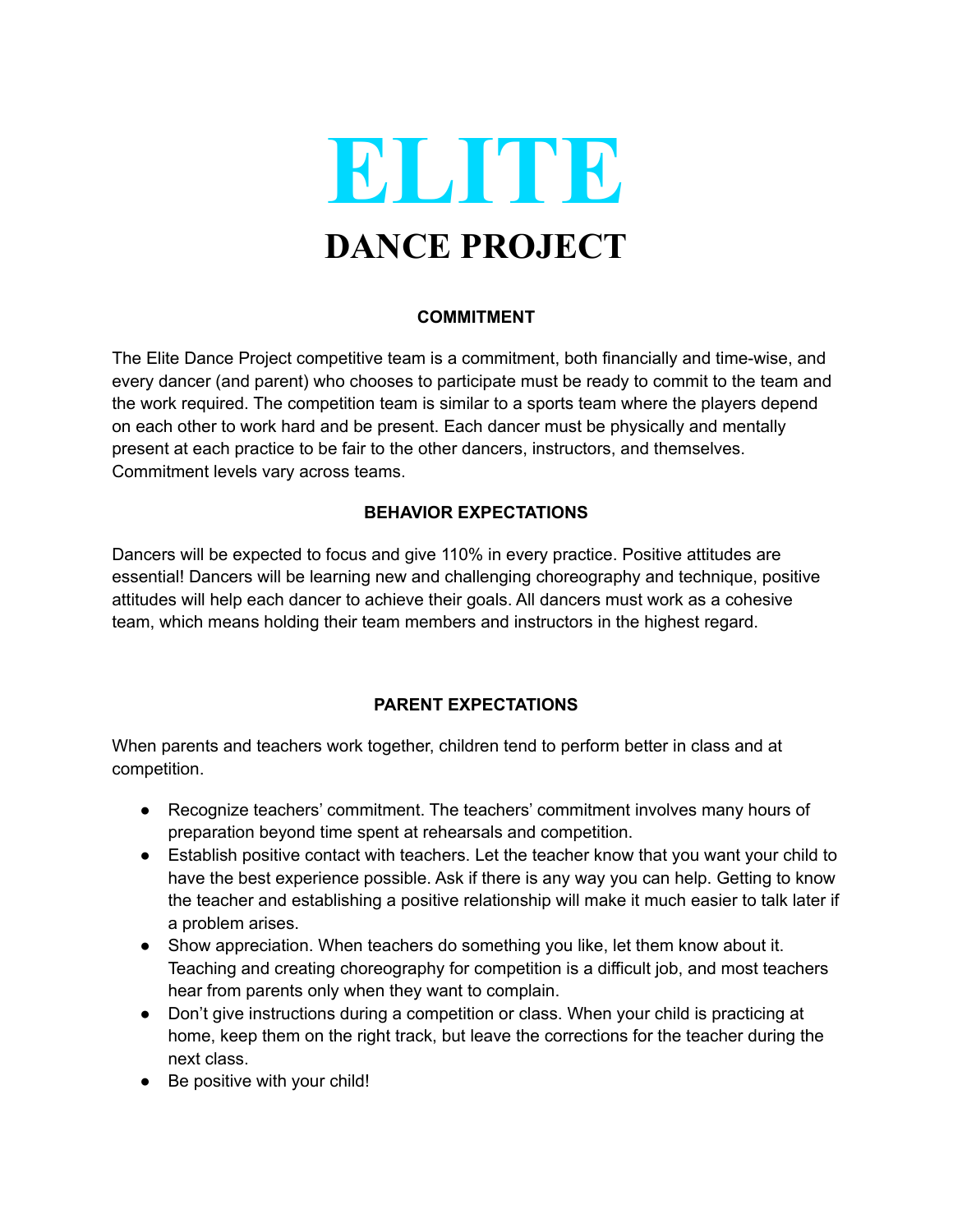

### **COMMITMENT**

The Elite Dance Project competitive team is a commitment, both financially and time-wise, and every dancer (and parent) who chooses to participate must be ready to commit to the team and the work required. The competition team is similar to a sports team where the players depend on each other to work hard and be present. Each dancer must be physically and mentally present at each practice to be fair to the other dancers, instructors, and themselves. Commitment levels vary across teams.

# **BEHAVIOR EXPECTATIONS**

Dancers will be expected to focus and give 110% in every practice. Positive attitudes are essential! Dancers will be learning new and challenging choreography and technique, positive attitudes will help each dancer to achieve their goals. All dancers must work as a cohesive team, which means holding their team members and instructors in the highest regard.

## **PARENT EXPECTATIONS**

When parents and teachers work together, children tend to perform better in class and at competition.

- Recognize teachers' commitment. The teachers' commitment involves many hours of preparation beyond time spent at rehearsals and competition.
- Establish positive contact with teachers. Let the teacher know that you want your child to have the best experience possible. Ask if there is any way you can help. Getting to know the teacher and establishing a positive relationship will make it much easier to talk later if a problem arises.
- Show appreciation. When teachers do something you like, let them know about it. Teaching and creating choreography for competition is a difficult job, and most teachers hear from parents only when they want to complain.
- Don't give instructions during a competition or class. When your child is practicing at home, keep them on the right track, but leave the corrections for the teacher during the next class.
- Be positive with your child!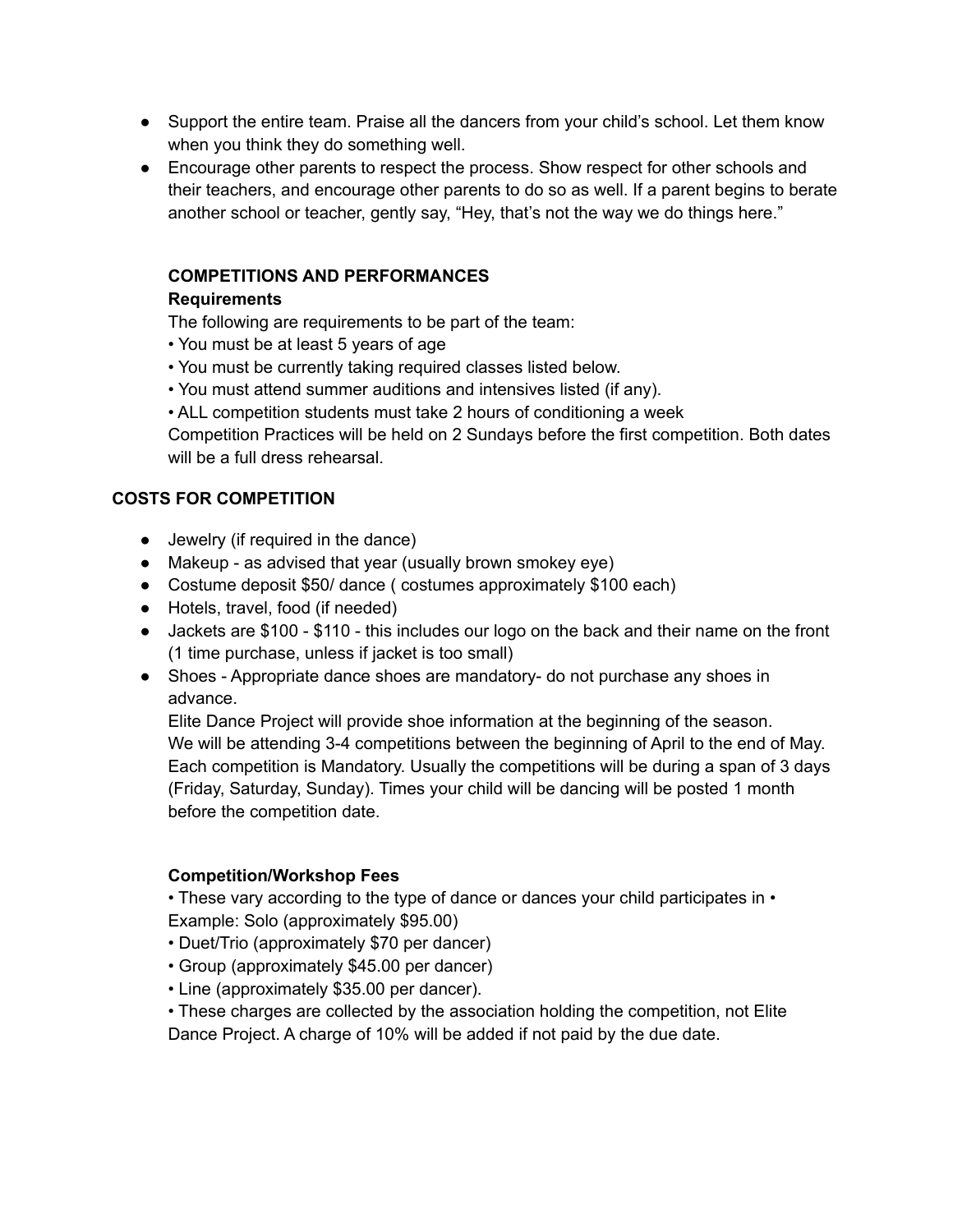- Support the entire team. Praise all the dancers from your child's school. Let them know when you think they do something well.
- Encourage other parents to respect the process. Show respect for other schools and their teachers, and encourage other parents to do so as well. If a parent begins to berate another school or teacher, gently say, "Hey, that's not the way we do things here."

# **COMPETITIONS AND PERFORMANCES**

## **Requirements**

The following are requirements to be part of the team:

- You must be at least 5 years of age
- You must be currently taking required classes listed below.
- You must attend summer auditions and intensives listed (if any).
- ALL competition students must take 2 hours of conditioning a week

Competition Practices will be held on 2 Sundays before the first competition. Both dates will be a full dress rehearsal

# **COSTS FOR COMPETITION**

- Jewelry (if required in the dance)
- Makeup as advised that year (usually brown smokey eye)
- Costume deposit \$50/ dance ( costumes approximately \$100 each)
- Hotels, travel, food (if needed)
- Jackets are \$100 \$110 this includes our logo on the back and their name on the front (1 time purchase, unless if jacket is too small)
- Shoes Appropriate dance shoes are mandatory- do not purchase any shoes in advance.

Elite Dance Project will provide shoe information at the beginning of the season. We will be attending 3-4 competitions between the beginning of April to the end of May. Each competition is Mandatory. Usually the competitions will be during a span of 3 days (Friday, Saturday, Sunday). Times your child will be dancing will be posted 1 month before the competition date.

## **Competition/Workshop Fees**

• These vary according to the type of dance or dances your child participates in • Example: Solo (approximately \$95.00)

- Duet/Trio (approximately \$70 per dancer)
- Group (approximately \$45.00 per dancer)
- Line (approximately \$35.00 per dancer).

• These charges are collected by the association holding the competition, not Elite Dance Project. A charge of 10% will be added if not paid by the due date.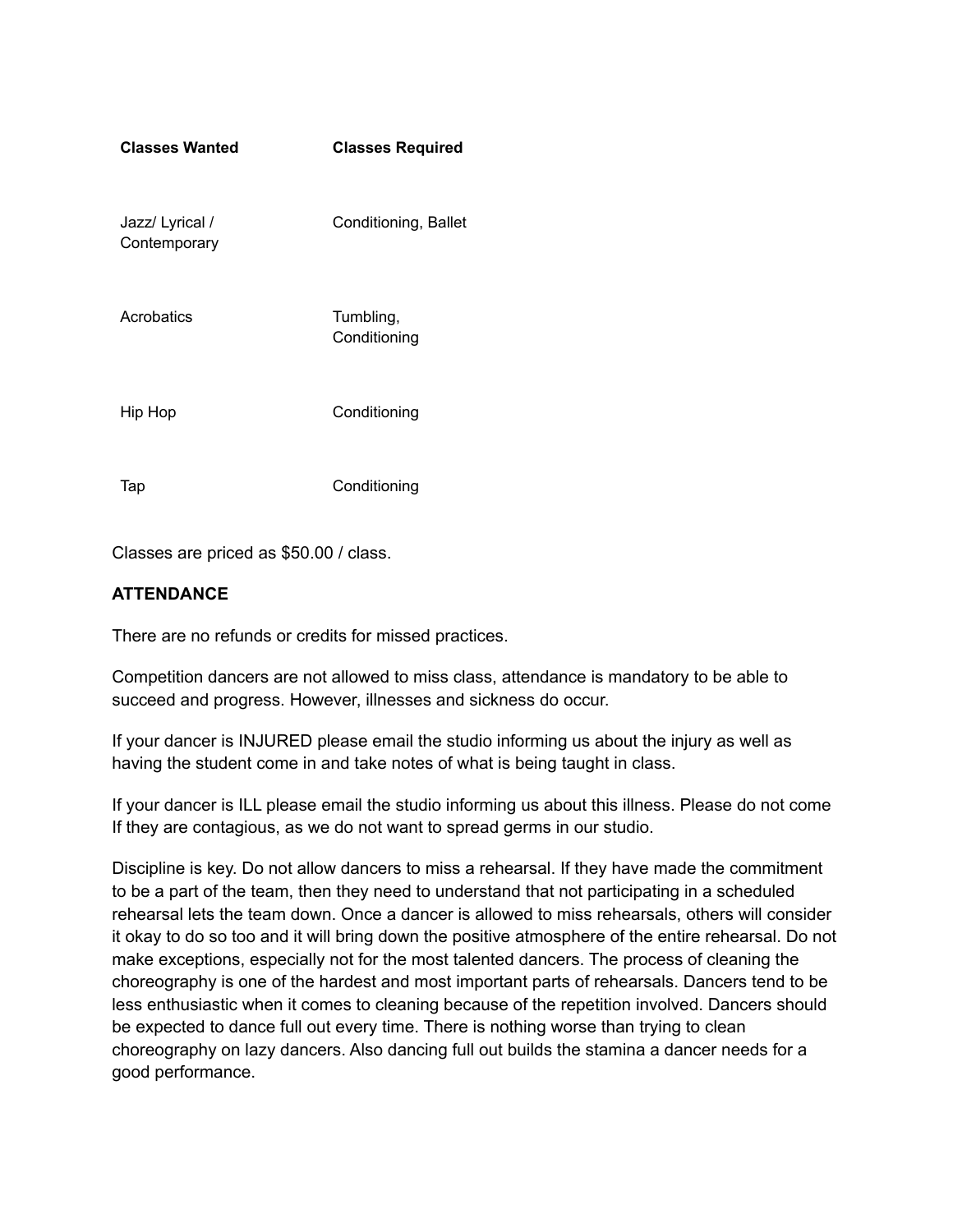| <b>Classes Wanted</b>           | <b>Classes Required</b>   |
|---------------------------------|---------------------------|
| Jazz/ Lyrical /<br>Contemporary | Conditioning, Ballet      |
| Acrobatics                      | Tumbling,<br>Conditioning |
| Hip Hop                         | Conditioning              |
| Тар                             | Conditioning              |

Classes are priced as \$50.00 / class.

# **ATTENDANCE**

There are no refunds or credits for missed practices.

Competition dancers are not allowed to miss class, attendance is mandatory to be able to succeed and progress. However, illnesses and sickness do occur.

If your dancer is INJURED please email the studio informing us about the injury as well as having the student come in and take notes of what is being taught in class.

If your dancer is ILL please email the studio informing us about this illness. Please do not come If they are contagious, as we do not want to spread germs in our studio.

Discipline is key. Do not allow dancers to miss a rehearsal. If they have made the commitment to be a part of the team, then they need to understand that not participating in a scheduled rehearsal lets the team down. Once a dancer is allowed to miss rehearsals, others will consider it okay to do so too and it will bring down the positive atmosphere of the entire rehearsal. Do not make exceptions, especially not for the most talented dancers. The process of cleaning the choreography is one of the hardest and most important parts of rehearsals. Dancers tend to be less enthusiastic when it comes to cleaning because of the repetition involved. Dancers should be expected to dance full out every time. There is nothing worse than trying to clean choreography on lazy dancers. Also dancing full out builds the stamina a dancer needs for a good performance.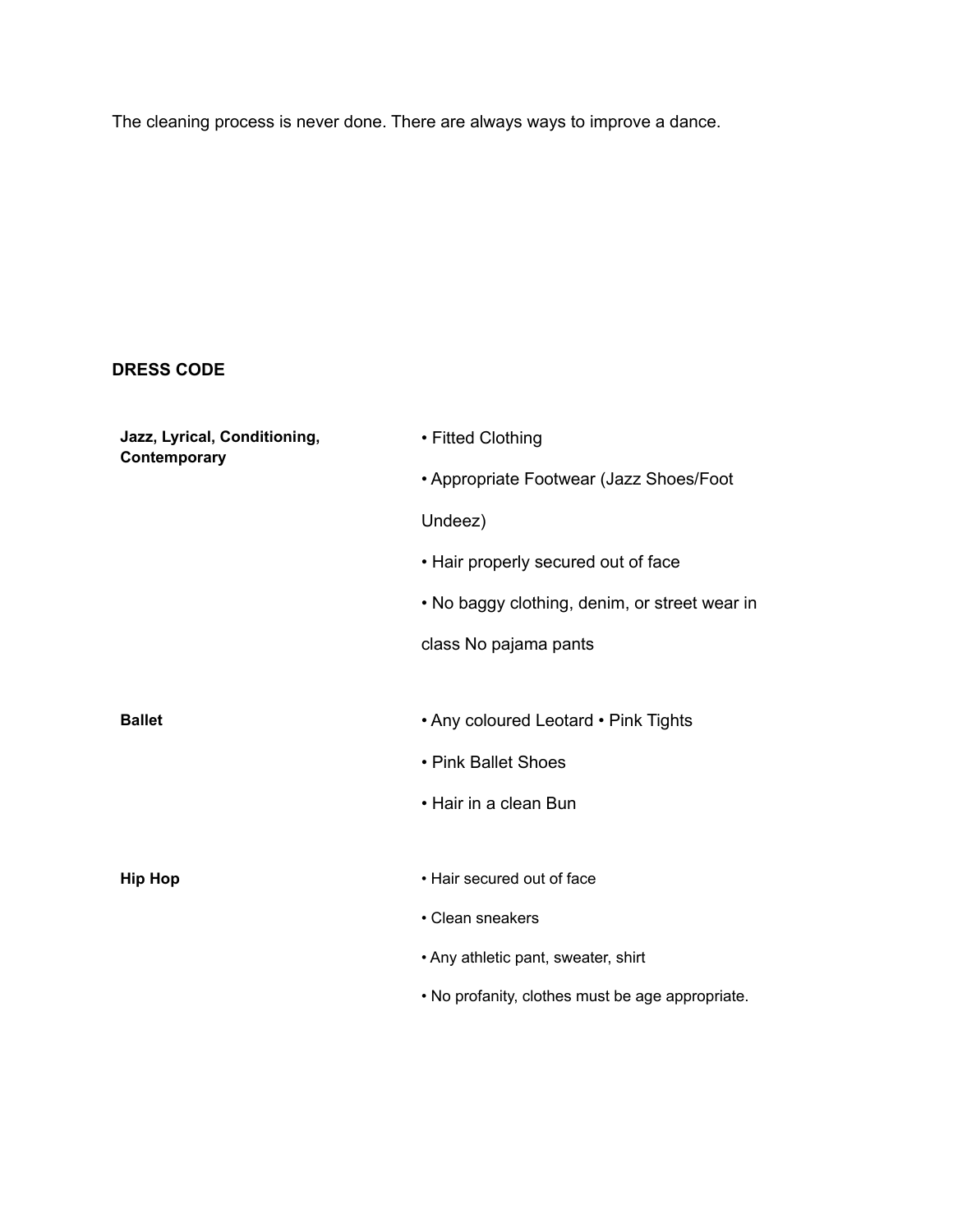The cleaning process is never done. There are always ways to improve a dance.

# **DRESS CODE**

| Jazz, Lyrical, Conditioning,<br>Contemporary | • Fitted Clothing                                |  |
|----------------------------------------------|--------------------------------------------------|--|
|                                              | • Appropriate Footwear (Jazz Shoes/Foot          |  |
|                                              | Undeez)                                          |  |
|                                              | • Hair properly secured out of face              |  |
|                                              | • No baggy clothing, denim, or street wear in    |  |
|                                              | class No pajama pants                            |  |
|                                              |                                                  |  |
| <b>Ballet</b>                                | • Any coloured Leotard • Pink Tights             |  |
|                                              | • Pink Ballet Shoes                              |  |
|                                              | • Hair in a clean Bun                            |  |
|                                              |                                                  |  |
| <b>Hip Hop</b>                               | • Hair secured out of face                       |  |
|                                              | • Clean sneakers                                 |  |
|                                              | • Any athletic pant, sweater, shirt              |  |
|                                              | . No profanity, clothes must be age appropriate. |  |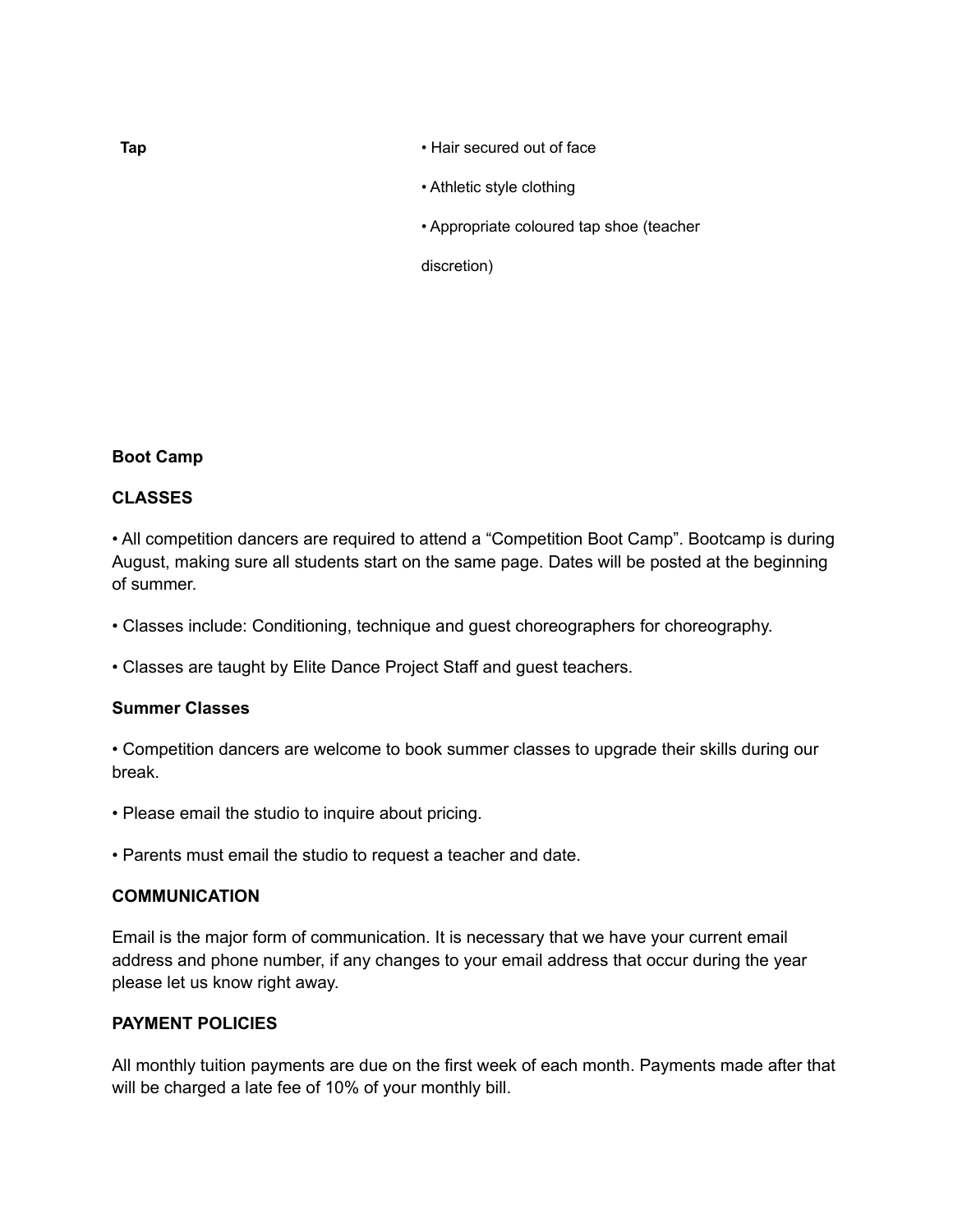#### **Tap** • Hair secured out of face

- Athletic style clothing
- Appropriate coloured tap shoe (teacher

discretion)

## **Boot Camp**

## **CLASSES**

• All competition dancers are required to attend a "Competition Boot Camp". Bootcamp is during August, making sure all students start on the same page. Dates will be posted at the beginning of summer.

• Classes include: Conditioning, technique and guest choreographers for choreography.

• Classes are taught by Elite Dance Project Staff and guest teachers.

#### **Summer Classes**

• Competition dancers are welcome to book summer classes to upgrade their skills during our break.

- Please email the studio to inquire about pricing.
- Parents must email the studio to request a teacher and date.

#### **COMMUNICATION**

Email is the major form of communication. It is necessary that we have your current email address and phone number, if any changes to your email address that occur during the year please let us know right away.

#### **PAYMENT POLICIES**

All monthly tuition payments are due on the first week of each month. Payments made after that will be charged a late fee of 10% of your monthly bill.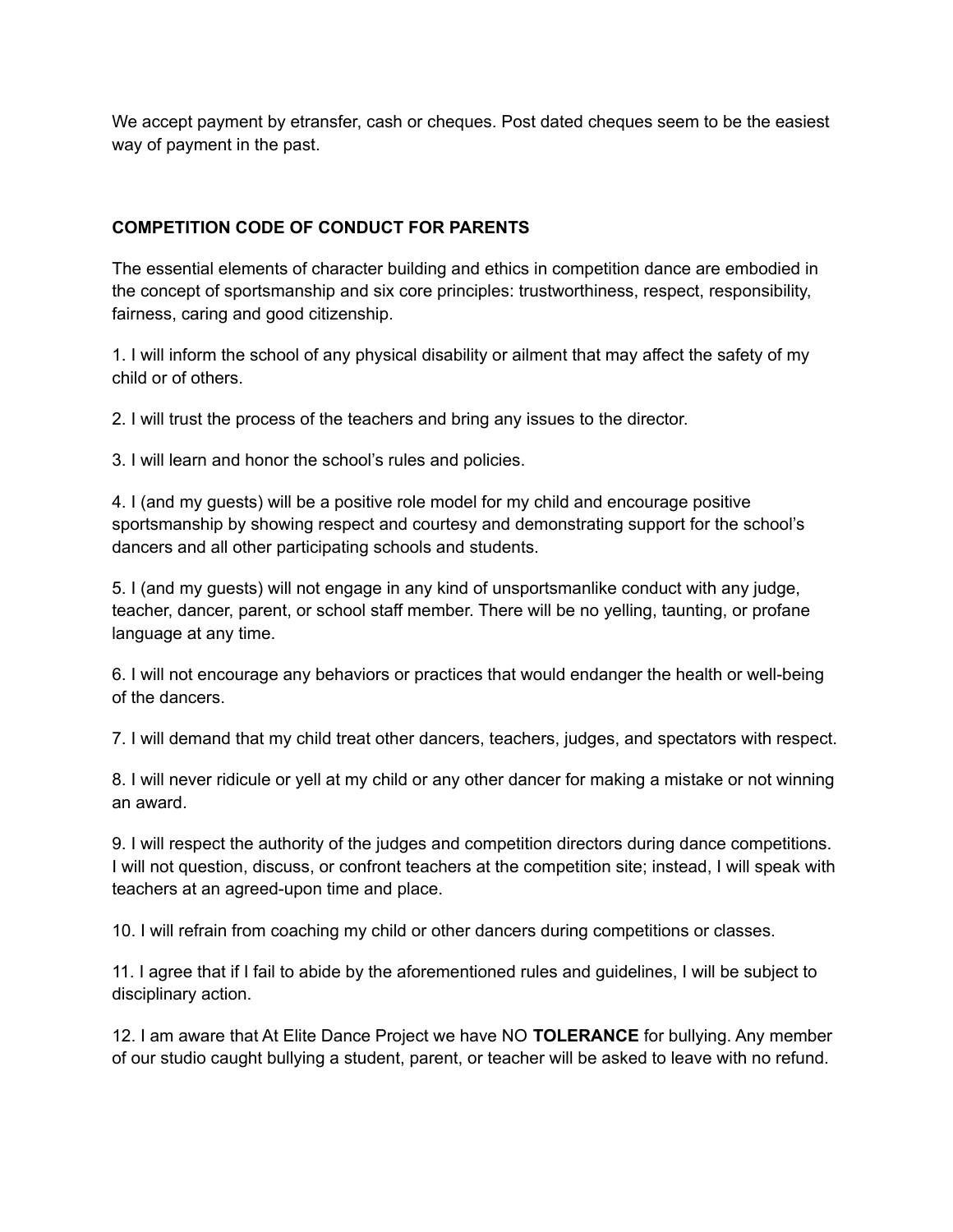We accept payment by etransfer, cash or cheques. Post dated cheques seem to be the easiest way of payment in the past.

# **COMPETITION CODE OF CONDUCT FOR PARENTS**

The essential elements of character building and ethics in competition dance are embodied in the concept of sportsmanship and six core principles: trustworthiness, respect, responsibility, fairness, caring and good citizenship.

1. I will inform the school of any physical disability or ailment that may affect the safety of my child or of others.

2. I will trust the process of the teachers and bring any issues to the director.

3. I will learn and honor the school's rules and policies.

4. I (and my guests) will be a positive role model for my child and encourage positive sportsmanship by showing respect and courtesy and demonstrating support for the school's dancers and all other participating schools and students.

5. I (and my guests) will not engage in any kind of unsportsmanlike conduct with any judge, teacher, dancer, parent, or school staff member. There will be no yelling, taunting, or profane language at any time.

6. I will not encourage any behaviors or practices that would endanger the health or well-being of the dancers.

7. I will demand that my child treat other dancers, teachers, judges, and spectators with respect.

8. I will never ridicule or yell at my child or any other dancer for making a mistake or not winning an award.

9. I will respect the authority of the judges and competition directors during dance competitions. I will not question, discuss, or confront teachers at the competition site; instead, I will speak with teachers at an agreed-upon time and place.

10. I will refrain from coaching my child or other dancers during competitions or classes.

11. I agree that if I fail to abide by the aforementioned rules and guidelines, I will be subject to disciplinary action.

12. I am aware that At Elite Dance Project we have NO **TOLERANCE** for bullying. Any member of our studio caught bullying a student, parent, or teacher will be asked to leave with no refund.